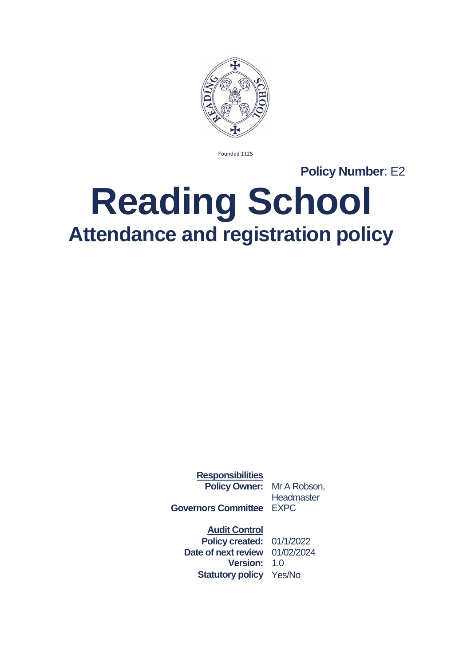

Founded 1125

**Policy Number**: E2

## **Reading School Attendance and registration policy**

**Responsibilities Policy Owner:** Mr A Robson,

**Headmaster** 

**Governors Committee** EXPC

**Audit Control**

**Policy created:** 01/1/2022 **Date of next review** 01/02/2024 **Version:** 1.0 **Statutory policy** Yes/No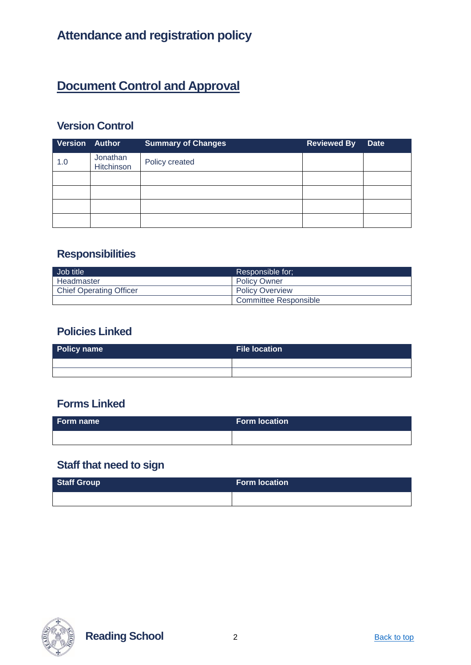## **Document Control and Approval**

### **Version Control**

| <b>Version Author</b> |                        | <b>Summary of Changes</b> | <b>Reviewed By</b> | <b>Date</b> |
|-----------------------|------------------------|---------------------------|--------------------|-------------|
| 1.0                   | Jonathan<br>Hitchinson | Policy created            |                    |             |
|                       |                        |                           |                    |             |
|                       |                        |                           |                    |             |
|                       |                        |                           |                    |             |
|                       |                        |                           |                    |             |

#### **Responsibilities**

| Job title                      | Responsible for:       |  |
|--------------------------------|------------------------|--|
| Headmaster                     | <b>Policy Owner</b>    |  |
| <b>Chief Operating Officer</b> | <b>Policy Overview</b> |  |
|                                | Committee Responsible  |  |

#### **Policies Linked**

| Policy name | File location \ |
|-------------|-----------------|
|             |                 |
|             |                 |

#### **Forms Linked**

| Form name | <b>Form location</b> |
|-----------|----------------------|
|           |                      |

## **Staff that need to sign**

| Staff Group | <b>Form location</b> |
|-------------|----------------------|
|             |                      |



**Reading School** 2 **Back to top**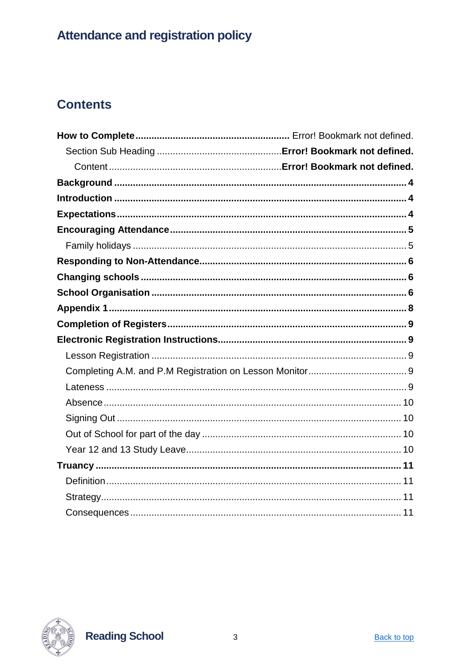## **Contents**



**Reading School**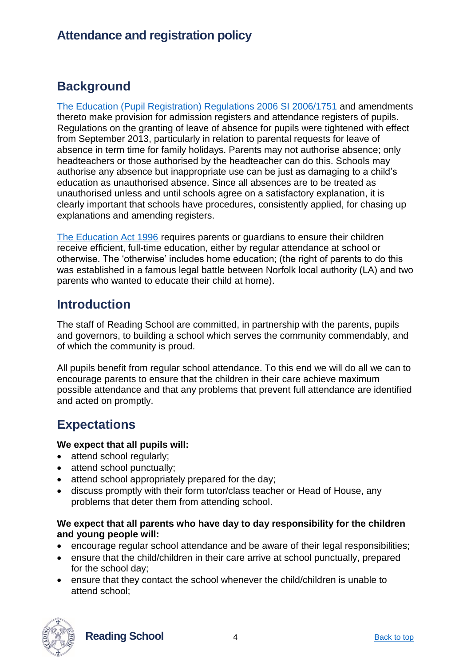## <span id="page-3-0"></span>**Background**

[The Education \(Pupil Registration\) Regulations 2006 SI 2006/1751](https://www.legislation.gov.uk/uksi/2006/1751/contents/made) and amendments thereto make provision for admission registers and attendance registers of pupils. Regulations on the granting of leave of absence for pupils were tightened with effect from September 2013, particularly in relation to parental requests for leave of absence in term time for family holidays. Parents may not authorise absence; only headteachers or those authorised by the headteacher can do this. Schools may authorise any absence but inappropriate use can be just as damaging to a child's education as unauthorised absence. Since all absences are to be treated as unauthorised unless and until schools agree on a satisfactory explanation, it is clearly important that schools have procedures, consistently applied, for chasing up explanations and amending registers.

[The Education Act 1996](https://www.legislation.gov.uk/ukpga/1996/56/contents) requires parents or guardians to ensure their children receive efficient, full-time education, either by regular attendance at school or otherwise. The 'otherwise' includes home education; (the right of parents to do this was established in a famous legal battle between Norfolk local authority (LA) and two parents who wanted to educate their child at home).

## <span id="page-3-1"></span>**Introduction**

The staff of Reading School are committed, in partnership with the parents, pupils and governors, to building a school which serves the community commendably, and of which the community is proud.

All pupils benefit from regular school attendance. To this end we will do all we can to encourage parents to ensure that the children in their care achieve maximum possible attendance and that any problems that prevent full attendance are identified and acted on promptly.

## <span id="page-3-2"></span>**Expectations**

#### **We expect that all pupils will:**

- attend school regularly;
- attend school punctually;
- attend school appropriately prepared for the day;
- discuss promptly with their form tutor/class teacher or Head of House, any problems that deter them from attending school.

#### **We expect that all parents who have day to day responsibility for the children and young people will:**

- encourage regular school attendance and be aware of their legal responsibilities;
- ensure that the child/children in their care arrive at school punctually, prepared for the school day;
- ensure that they contact the school whenever the child/children is unable to attend school;



**Reading School** 4 Back to top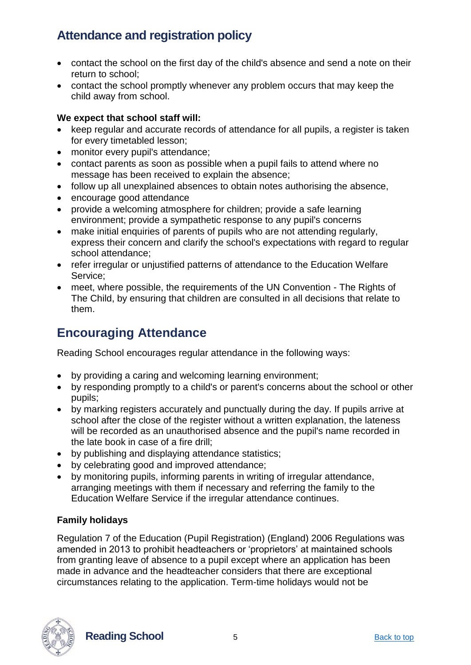- contact the school on the first day of the child's absence and send a note on their return to school;
- contact the school promptly whenever any problem occurs that may keep the child away from school.

#### **We expect that school staff will:**

- keep regular and accurate records of attendance for all pupils, a register is taken for every timetabled lesson;
- monitor every pupil's attendance;
- contact parents as soon as possible when a pupil fails to attend where no message has been received to explain the absence;
- follow up all unexplained absences to obtain notes authorising the absence,
- encourage good attendance
- provide a welcoming atmosphere for children; provide a safe learning environment; provide a sympathetic response to any pupil's concerns
- make initial enquiries of parents of pupils who are not attending regularly, express their concern and clarify the school's expectations with regard to regular school attendance;
- refer irregular or unjustified patterns of attendance to the Education Welfare Service;
- meet, where possible, the requirements of the UN Convention The Rights of The Child, by ensuring that children are consulted in all decisions that relate to them.

## <span id="page-4-0"></span>**Encouraging Attendance**

Reading School encourages regular attendance in the following ways:

- by providing a caring and welcoming learning environment;
- by responding promptly to a child's or parent's concerns about the school or other pupils;
- by marking registers accurately and punctually during the day. If pupils arrive at school after the close of the register without a written explanation, the lateness will be recorded as an unauthorised absence and the pupil's name recorded in the late book in case of a fire drill;
- by publishing and displaying attendance statistics;
- by celebrating good and improved attendance;
- by monitoring pupils, informing parents in writing of irregular attendance, arranging meetings with them if necessary and referring the family to the Education Welfare Service if the irregular attendance continues.

#### <span id="page-4-1"></span>**Family holidays**

Regulation 7 of the Education (Pupil Registration) (England) 2006 Regulations was amended in 2013 to prohibit headteachers or 'proprietors' at maintained schools from granting leave of absence to a pupil except where an application has been made in advance and the headteacher considers that there are exceptional circumstances relating to the application. Term-time holidays would not be



**Reading School** 5 **Back to top**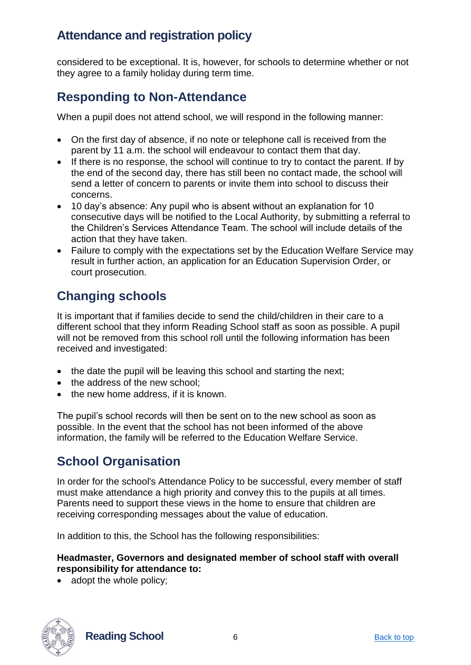considered to be exceptional. It is, however, for schools to determine whether or not they agree to a family holiday during term time.

## <span id="page-5-0"></span>**Responding to Non-Attendance**

When a pupil does not attend school, we will respond in the following manner:

- On the first day of absence, if no note or telephone call is received from the parent by 11 a.m. the school will endeavour to contact them that day.
- If there is no response, the school will continue to try to contact the parent. If by the end of the second day, there has still been no contact made, the school will send a letter of concern to parents or invite them into school to discuss their concerns.
- 10 day's absence: Any pupil who is absent without an explanation for 10 consecutive days will be notified to the Local Authority, by submitting a referral to the Children's Services Attendance Team. The school will include details of the action that they have taken.
- Failure to comply with the expectations set by the Education Welfare Service may result in further action, an application for an Education Supervision Order, or court prosecution.

## <span id="page-5-1"></span>**Changing schools**

It is important that if families decide to send the child/children in their care to a different school that they inform Reading School staff as soon as possible. A pupil will not be removed from this school roll until the following information has been received and investigated:

- the date the pupil will be leaving this school and starting the next;
- the address of the new school;
- the new home address, if it is known.

The pupil's school records will then be sent on to the new school as soon as possible. In the event that the school has not been informed of the above information, the family will be referred to the Education Welfare Service.

## <span id="page-5-2"></span>**School Organisation**

In order for the school's Attendance Policy to be successful, every member of staff must make attendance a high priority and convey this to the pupils at all times. Parents need to support these views in the home to ensure that children are receiving corresponding messages about the value of education.

In addition to this, the School has the following responsibilities:

#### **Headmaster, Governors and designated member of school staff with overall responsibility for attendance to:**

• adopt the whole policy;



**Reading School** 6 **Back to top** Back to top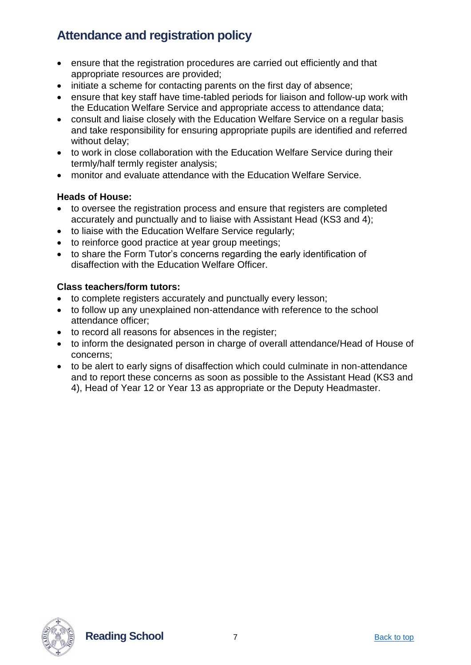- ensure that the registration procedures are carried out efficiently and that appropriate resources are provided;
- initiate a scheme for contacting parents on the first day of absence;
- ensure that key staff have time-tabled periods for liaison and follow-up work with the Education Welfare Service and appropriate access to attendance data;
- consult and liaise closely with the Education Welfare Service on a regular basis and take responsibility for ensuring appropriate pupils are identified and referred without delay;
- to work in close collaboration with the Education Welfare Service during their termly/half termly register analysis;
- monitor and evaluate attendance with the Education Welfare Service.

#### **Heads of House:**

- to oversee the registration process and ensure that registers are completed accurately and punctually and to liaise with Assistant Head (KS3 and 4);
- to liaise with the Education Welfare Service regularly;
- to reinforce good practice at year group meetings;
- to share the Form Tutor's concerns regarding the early identification of disaffection with the Education Welfare Officer.

#### **Class teachers/form tutors:**

- to complete registers accurately and punctually every lesson;
- to follow up any unexplained non-attendance with reference to the school attendance officer;
- to record all reasons for absences in the register;
- to inform the designated person in charge of overall attendance/Head of House of concerns;
- to be alert to early signs of disaffection which could culminate in non-attendance and to report these concerns as soon as possible to the Assistant Head (KS3 and 4), Head of Year 12 or Year 13 as appropriate or the Deputy Headmaster.

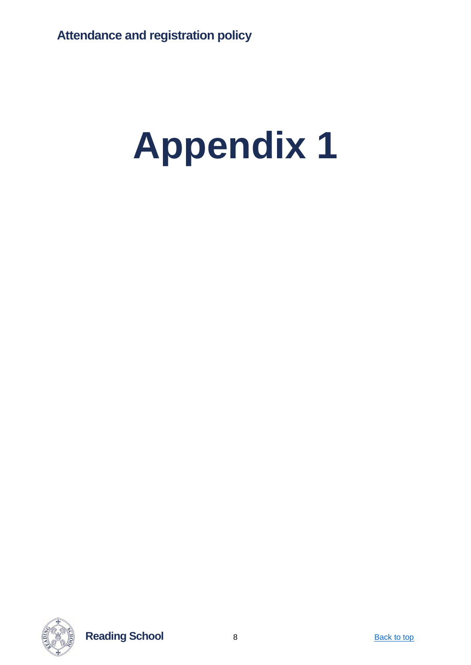# <span id="page-7-0"></span>**Appendix 1**



**Reading School** 8 **Back to top**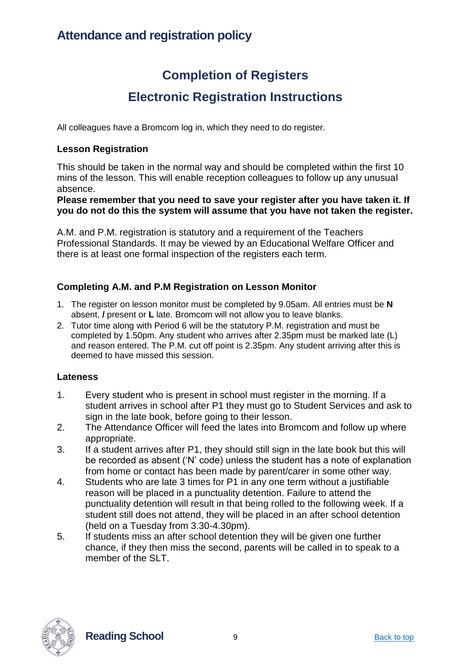## **Completion of Registers Electronic Registration Instructions**

<span id="page-8-1"></span><span id="page-8-0"></span>All colleagues have a Bromcom log in, which they need to do register.

#### <span id="page-8-2"></span>**Lesson Registration**

This should be taken in the normal way and should be completed within the first 10 mins of the lesson. This will enable reception colleagues to follow up any unusual absence.

**Please remember that you need to save your register after you have taken it. If you do not do this the system will assume that you have not taken the register.** 

A.M. and P.M. registration is statutory and a requirement of the Teachers Professional Standards. It may be viewed by an Educational Welfare Officer and there is at least one formal inspection of the registers each term.

#### <span id="page-8-3"></span>**Completing A.M. and P.M Registration on Lesson Monitor**

- 1. The register on lesson monitor must be completed by 9.05am. All entries must be **N**  absent, **/** present or **L** late. Bromcom will not allow you to leave blanks.
- 2. Tutor time along with Period 6 will be the statutory P.M. registration and must be completed by 1.50pm. Any student who arrives after 2.35pm must be marked late (L) and reason entered. The P.M. cut off point is 2.35pm. Any student arriving after this is deemed to have missed this session.

#### <span id="page-8-4"></span>**Lateness**

- 1. Every student who is present in school must register in the morning. If a student arrives in school after P1 they must go to Student Services and ask to sign in the late book, before going to their lesson.
- 2. The Attendance Officer will feed the lates into Bromcom and follow up where appropriate.
- 3. If a student arrives after P1, they should still sign in the late book but this will be recorded as absent ('N' code) unless the student has a note of explanation from home or contact has been made by parent/carer in some other way.
- 4. Students who are late 3 times for P1 in any one term without a justifiable reason will be placed in a punctuality detention. Failure to attend the punctuality detention will result in that being rolled to the following week. If a student still does not attend, they will be placed in an after school detention (held on a Tuesday from 3.30-4.30pm).
- 5. If students miss an after school detention they will be given one further chance, if they then miss the second, parents will be called in to speak to a member of the SLT.



**Reading School** 9 **Back to top** Back to top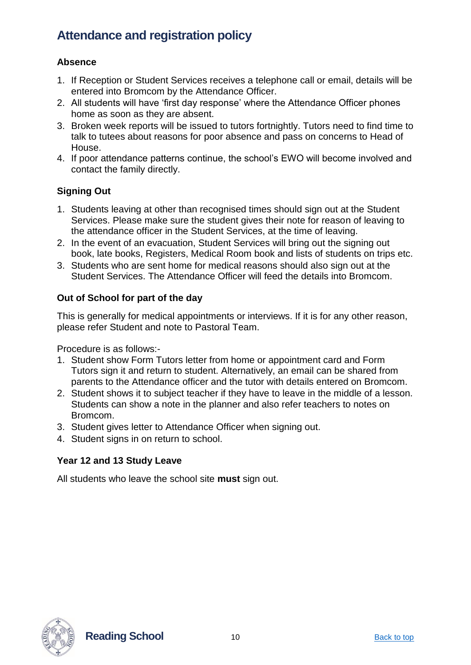#### <span id="page-9-0"></span>**Absence**

- 1. If Reception or Student Services receives a telephone call or email, details will be entered into Bromcom by the Attendance Officer.
- 2. All students will have 'first day response' where the Attendance Officer phones home as soon as they are absent.
- 3. Broken week reports will be issued to tutors fortnightly. Tutors need to find time to talk to tutees about reasons for poor absence and pass on concerns to Head of House.
- 4. If poor attendance patterns continue, the school's EWO will become involved and contact the family directly.

#### <span id="page-9-1"></span>**Signing Out**

- 1. Students leaving at other than recognised times should sign out at the Student Services. Please make sure the student gives their note for reason of leaving to the attendance officer in the Student Services, at the time of leaving.
- 2. In the event of an evacuation, Student Services will bring out the signing out book, late books, Registers, Medical Room book and lists of students on trips etc.
- 3. Students who are sent home for medical reasons should also sign out at the Student Services. The Attendance Officer will feed the details into Bromcom.

#### <span id="page-9-2"></span>**Out of School for part of the day**

This is generally for medical appointments or interviews. If it is for any other reason, please refer Student and note to Pastoral Team.

Procedure is as follows:-

- 1. Student show Form Tutors letter from home or appointment card and Form Tutors sign it and return to student. Alternatively, an email can be shared from parents to the Attendance officer and the tutor with details entered on Bromcom.
- 2. Student shows it to subject teacher if they have to leave in the middle of a lesson. Students can show a note in the planner and also refer teachers to notes on Bromcom.
- 3. Student gives letter to Attendance Officer when signing out.
- 4. Student signs in on return to school.

#### <span id="page-9-3"></span>**Year 12 and 13 Study Leave**

All students who leave the school site **must** sign out.



**Reading School** 10 10 Back to top